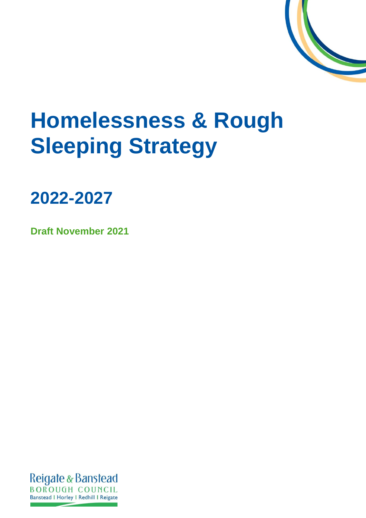

# <span id="page-0-0"></span>**Homelessness & Rough Sleeping Strategy**

**2022-2027**

<span id="page-0-1"></span>**Draft November 2021**

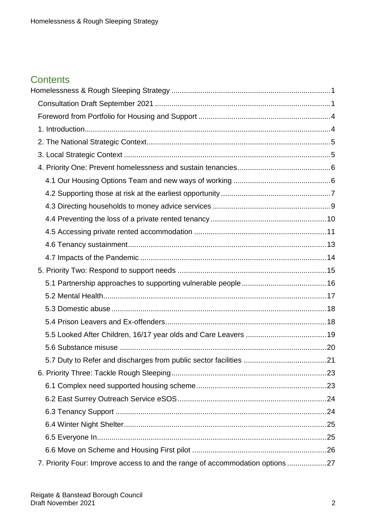# **Contents**

| 7. Priority Four: Improve access to and the range of accommodation options 27 |  |
|-------------------------------------------------------------------------------|--|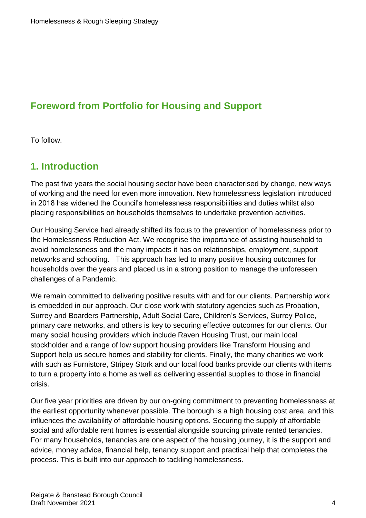# <span id="page-3-0"></span>**Foreword from Portfolio for Housing and Support**

To follow.

## <span id="page-3-1"></span>**1. Introduction**

The past five years the social housing sector have been characterised by change, new ways of working and the need for even more innovation. New homelessness legislation introduced in 2018 has widened the Council's homelessness responsibilities and duties whilst also placing responsibilities on households themselves to undertake prevention activities.

Our Housing Service had already shifted its focus to the prevention of homelessness prior to the Homelessness Reduction Act. We recognise the importance of assisting household to avoid homelessness and the many impacts it has on relationships, employment, support networks and schooling. This approach has led to many positive housing outcomes for households over the years and placed us in a strong position to manage the unforeseen challenges of a Pandemic.

We remain committed to delivering positive results with and for our clients. Partnership work is embedded in our approach. Our close work with statutory agencies such as Probation, Surrey and Boarders Partnership, Adult Social Care, Children's Services, Surrey Police, primary care networks, and others is key to securing effective outcomes for our clients. Our many social housing providers which include Raven Housing Trust, our main local stockholder and a range of low support housing providers like Transform Housing and Support help us secure homes and stability for clients. Finally, the many charities we work with such as Furnistore, Stripey Stork and our local food banks provide our clients with items to turn a property into a home as well as delivering essential supplies to those in financial crisis.

Our five year priorities are driven by our on-going commitment to preventing homelessness at the earliest opportunity whenever possible. The borough is a high housing cost area, and this influences the availability of affordable housing options. Securing the supply of affordable social and affordable rent homes is essential alongside sourcing private rented tenancies. For many households, tenancies are one aspect of the housing journey, it is the support and advice, money advice, financial help, tenancy support and practical help that completes the process. This is built into our approach to tackling homelessness.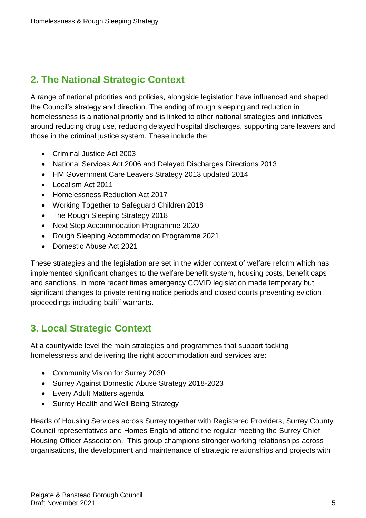# <span id="page-4-0"></span>**2. The National Strategic Context**

A range of national priorities and policies, alongside legislation have influenced and shaped the Council's strategy and direction. The ending of rough sleeping and reduction in homelessness is a national priority and is linked to other national strategies and initiatives around reducing drug use, reducing delayed hospital discharges, supporting care leavers and those in the criminal justice system. These include the:

- Criminal Justice Act 2003
- National Services Act 2006 and Delayed Discharges Directions 2013
- HM Government Care Leavers Strategy 2013 updated 2014
- Localism Act 2011
- Homelessness Reduction Act 2017
- Working Together to Safeguard Children 2018
- The Rough Sleeping Strategy 2018
- Next Step Accommodation Programme 2020
- Rough Sleeping Accommodation Programme 2021
- Domestic Abuse Act 2021

These strategies and the legislation are set in the wider context of welfare reform which has implemented significant changes to the welfare benefit system, housing costs, benefit caps and sanctions. In more recent times emergency COVID legislation made temporary but significant changes to private renting notice periods and closed courts preventing eviction proceedings including bailiff warrants.

# <span id="page-4-1"></span>**3. Local Strategic Context**

At a countywide level the main strategies and programmes that support tacking homelessness and delivering the right accommodation and services are:

- Community Vision for Surrey 2030
- Surrey Against Domestic Abuse Strategy 2018-2023
- Every Adult Matters agenda
- Surrey Health and Well Being Strategy

Heads of Housing Services across Surrey together with Registered Providers, Surrey County Council representatives and Homes England attend the regular meeting the Surrey Chief Housing Officer Association. This group champions stronger working relationships across organisations, the development and maintenance of strategic relationships and projects with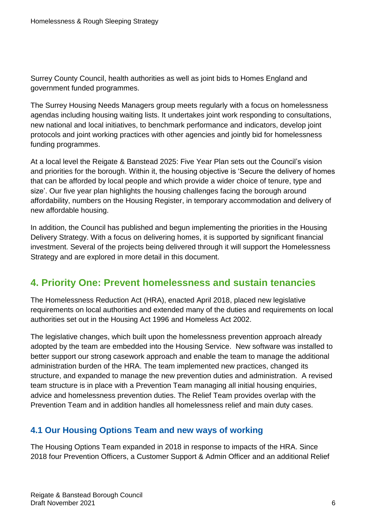Surrey County Council, health authorities as well as joint bids to Homes England and government funded programmes.

The Surrey Housing Needs Managers group meets regularly with a focus on homelessness agendas including housing waiting lists. It undertakes joint work responding to consultations, new national and local initiatives, to benchmark performance and indicators, develop joint protocols and joint working practices with other agencies and jointly bid for homelessness funding programmes.

At a local level the Reigate & Banstead 2025: Five Year Plan sets out the Council's vision and priorities for the borough. Within it, the housing objective is 'Secure the delivery of homes that can be afforded by local people and which provide a wider choice of tenure, type and size'. Our five year plan highlights the housing challenges facing the borough around affordability, numbers on the Housing Register, in temporary accommodation and delivery of new affordable housing.

In addition, the Council has published and begun implementing the priorities in the Housing Delivery Strategy. With a focus on delivering homes, it is supported by significant financial investment. Several of the projects being delivered through it will support the Homelessness Strategy and are explored in more detail in this document.

# <span id="page-5-0"></span>**4. Priority One: Prevent homelessness and sustain tenancies**

The Homelessness Reduction Act (HRA), enacted April 2018, placed new legislative requirements on local authorities and extended many of the duties and requirements on local authorities set out in the Housing Act 1996 and Homeless Act 2002.

The legislative changes, which built upon the homelessness prevention approach already adopted by the team are embedded into the Housing Service. New software was installed to better support our strong casework approach and enable the team to manage the additional administration burden of the HRA. The team implemented new practices, changed its structure, and expanded to manage the new prevention duties and administration. A revised team structure is in place with a Prevention Team managing all initial housing enquiries, advice and homelessness prevention duties. The Relief Team provides overlap with the Prevention Team and in addition handles all homelessness relief and main duty cases.

## <span id="page-5-1"></span>**4.1 Our Housing Options Team and new ways of working**

The Housing Options Team expanded in 2018 in response to impacts of the HRA. Since 2018 four Prevention Officers, a Customer Support & Admin Officer and an additional Relief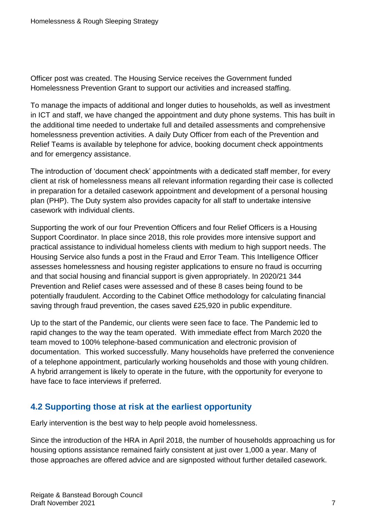Officer post was created. The Housing Service receives the Government funded Homelessness Prevention Grant to support our activities and increased staffing.

To manage the impacts of additional and longer duties to households, as well as investment in ICT and staff, we have changed the appointment and duty phone systems. This has built in the additional time needed to undertake full and detailed assessments and comprehensive homelessness prevention activities. A daily Duty Officer from each of the Prevention and Relief Teams is available by telephone for advice, booking document check appointments and for emergency assistance.

The introduction of 'document check' appointments with a dedicated staff member, for every client at risk of homelessness means all relevant information regarding their case is collected in preparation for a detailed casework appointment and development of a personal housing plan (PHP). The Duty system also provides capacity for all staff to undertake intensive casework with individual clients.

Supporting the work of our four Prevention Officers and four Relief Officers is a Housing Support Coordinator. In place since 2018, this role provides more intensive support and practical assistance to individual homeless clients with medium to high support needs. The Housing Service also funds a post in the Fraud and Error Team. This Intelligence Officer assesses homelessness and housing register applications to ensure no fraud is occurring and that social housing and financial support is given appropriately. In 2020/21 344 Prevention and Relief cases were assessed and of these 8 cases being found to be potentially fraudulent. According to the Cabinet Office methodology for calculating financial saving through fraud prevention, the cases saved £25,920 in public expenditure.

Up to the start of the Pandemic, our clients were seen face to face. The Pandemic led to rapid changes to the way the team operated. With immediate effect from March 2020 the team moved to 100% telephone-based communication and electronic provision of documentation. This worked successfully. Many households have preferred the convenience of a telephone appointment, particularly working households and those with young children. A hybrid arrangement is likely to operate in the future, with the opportunity for everyone to have face to face interviews if preferred.

## <span id="page-6-0"></span>**4.2 Supporting those at risk at the earliest opportunity**

Early intervention is the best way to help people avoid homelessness.

Since the introduction of the HRA in April 2018, the number of households approaching us for housing options assistance remained fairly consistent at just over 1,000 a year. Many of those approaches are offered advice and are signposted without further detailed casework.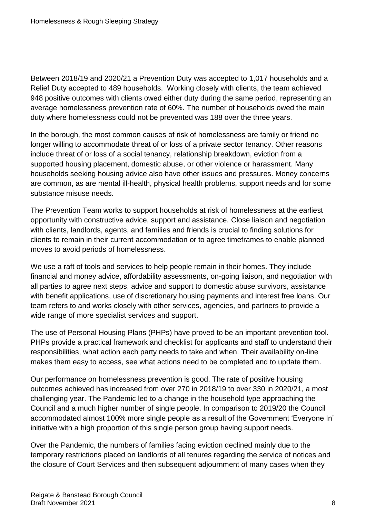Between 2018/19 and 2020/21 a Prevention Duty was accepted to 1,017 households and a Relief Duty accepted to 489 households. Working closely with clients, the team achieved 948 positive outcomes with clients owed either duty during the same period, representing an average homelessness prevention rate of 60%. The number of households owed the main duty where homelessness could not be prevented was 188 over the three years.

In the borough, the most common causes of risk of homelessness are family or friend no longer willing to accommodate threat of or loss of a private sector tenancy. Other reasons include threat of or loss of a social tenancy, relationship breakdown, eviction from a supported housing placement, domestic abuse, or other violence or harassment. Many households seeking housing advice also have other issues and pressures. Money concerns are common, as are mental ill-health, physical health problems, support needs and for some substance misuse needs.

The Prevention Team works to support households at risk of homelessness at the earliest opportunity with constructive advice, support and assistance. Close liaison and negotiation with clients, landlords, agents, and families and friends is crucial to finding solutions for clients to remain in their current accommodation or to agree timeframes to enable planned moves to avoid periods of homelessness.

We use a raft of tools and services to help people remain in their homes. They include financial and money advice, affordability assessments, on-going liaison, and negotiation with all parties to agree next steps, advice and support to domestic abuse survivors, assistance with benefit applications, use of discretionary housing payments and interest free loans. Our team refers to and works closely with other services, agencies, and partners to provide a wide range of more specialist services and support.

The use of Personal Housing Plans (PHPs) have proved to be an important prevention tool. PHPs provide a practical framework and checklist for applicants and staff to understand their responsibilities, what action each party needs to take and when. Their availability on-line makes them easy to access, see what actions need to be completed and to update them.

Our performance on homelessness prevention is good. The rate of positive housing outcomes achieved has increased from over 270 in 2018/19 to over 330 in 2020/21, a most challenging year. The Pandemic led to a change in the household type approaching the Council and a much higher number of single people. In comparison to 2019/20 the Council accommodated almost 100% more single people as a result of the Government 'Everyone In' initiative with a high proportion of this single person group having support needs.

Over the Pandemic, the numbers of families facing eviction declined mainly due to the temporary restrictions placed on landlords of all tenures regarding the service of notices and the closure of Court Services and then subsequent adjournment of many cases when they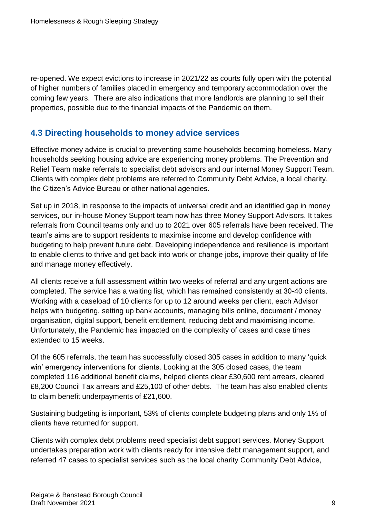re-opened. We expect evictions to increase in 2021/22 as courts fully open with the potential of higher numbers of families placed in emergency and temporary accommodation over the coming few years. There are also indications that more landlords are planning to sell their properties, possible due to the financial impacts of the Pandemic on them.

## <span id="page-8-0"></span>**4.3 Directing households to money advice services**

Effective money advice is crucial to preventing some households becoming homeless. Many households seeking housing advice are experiencing money problems. The Prevention and Relief Team make referrals to specialist debt advisors and our internal Money Support Team. Clients with complex debt problems are referred to Community Debt Advice, a local charity, the Citizen's Advice Bureau or other national agencies.

Set up in 2018, in response to the impacts of universal credit and an identified gap in money services, our in-house Money Support team now has three Money Support Advisors. It takes referrals from Council teams only and up to 2021 over 605 referrals have been received. The team's aims are to support residents to maximise income and develop confidence with budgeting to help prevent future debt. Developing independence and resilience is important to enable clients to thrive and get back into work or change jobs, improve their quality of life and manage money effectively.

All clients receive a full assessment within two weeks of referral and any urgent actions are completed. The service has a waiting list, which has remained consistently at 30-40 clients. Working with a caseload of 10 clients for up to 12 around weeks per client, each Advisor helps with budgeting, setting up bank accounts, managing bills online, document / money organisation, digital support, benefit entitlement, reducing debt and maximising income. Unfortunately, the Pandemic has impacted on the complexity of cases and case times extended to 15 weeks.

Of the 605 referrals, the team has successfully closed 305 cases in addition to many 'quick win' emergency interventions for clients. Looking at the 305 closed cases, the team completed 116 additional benefit claims, helped clients clear £30,600 rent arrears, cleared £8,200 Council Tax arrears and £25,100 of other debts. The team has also enabled clients to claim benefit underpayments of £21,600.

Sustaining budgeting is important, 53% of clients complete budgeting plans and only 1% of clients have returned for support.

Clients with complex debt problems need specialist debt support services. Money Support undertakes preparation work with clients ready for intensive debt management support, and referred 47 cases to specialist services such as the local charity Community Debt Advice,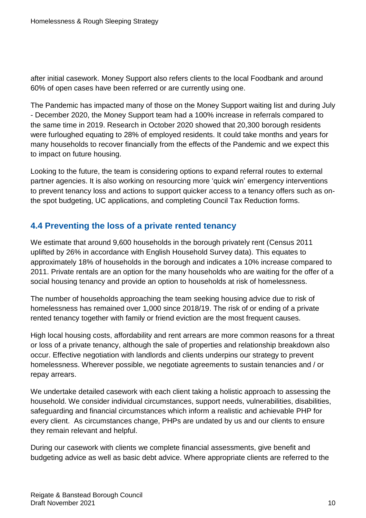after initial casework. Money Support also refers clients to the local Foodbank and around 60% of open cases have been referred or are currently using one.

The Pandemic has impacted many of those on the Money Support waiting list and during July - December 2020, the Money Support team had a 100% increase in referrals compared to the same time in 2019. Research in October 2020 showed that 20,300 borough residents were furloughed equating to 28% of employed residents. It could take months and years for many households to recover financially from the effects of the Pandemic and we expect this to impact on future housing.

Looking to the future, the team is considering options to expand referral routes to external partner agencies. It is also working on resourcing more 'quick win' emergency interventions to prevent tenancy loss and actions to support quicker access to a tenancy offers such as onthe spot budgeting, UC applications, and completing Council Tax Reduction forms.

## <span id="page-9-0"></span>**4.4 Preventing the loss of a private rented tenancy**

We estimate that around 9,600 households in the borough privately rent (Census 2011 uplifted by 26% in accordance with English Household Survey data). This equates to approximately 18% of households in the borough and indicates a 10% increase compared to 2011. Private rentals are an option for the many households who are waiting for the offer of a social housing tenancy and provide an option to households at risk of homelessness.

The number of households approaching the team seeking housing advice due to risk of homelessness has remained over 1,000 since 2018/19. The risk of or ending of a private rented tenancy together with family or friend eviction are the most frequent causes.

High local housing costs, affordability and rent arrears are more common reasons for a threat or loss of a private tenancy, although the sale of properties and relationship breakdown also occur. Effective negotiation with landlords and clients underpins our strategy to prevent homelessness. Wherever possible, we negotiate agreements to sustain tenancies and / or repay arrears.

We undertake detailed casework with each client taking a holistic approach to assessing the household. We consider individual circumstances, support needs, vulnerabilities, disabilities, safeguarding and financial circumstances which inform a realistic and achievable PHP for every client. As circumstances change, PHPs are undated by us and our clients to ensure they remain relevant and helpful.

During our casework with clients we complete financial assessments, give benefit and budgeting advice as well as basic debt advice. Where appropriate clients are referred to the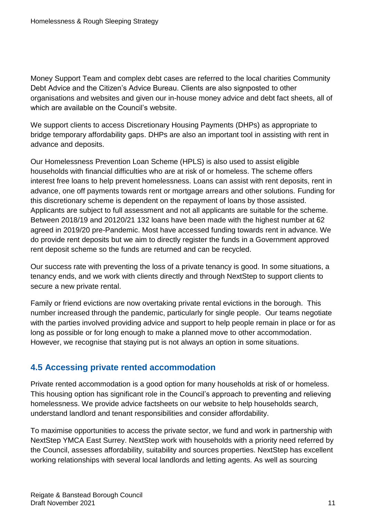Money Support Team and complex debt cases are referred to the local charities Community Debt Advice and the Citizen's Advice Bureau. Clients are also signposted to other organisations and websites and given our in-house money advice and debt fact sheets, all of which are available on the Council's website.

We support clients to access Discretionary Housing Payments (DHPs) as appropriate to bridge temporary affordability gaps. DHPs are also an important tool in assisting with rent in advance and deposits.

Our Homelessness Prevention Loan Scheme (HPLS) is also used to assist eligible households with financial difficulties who are at risk of or homeless. The scheme offers interest free loans to help prevent homelessness. Loans can assist with rent deposits, rent in advance, one off payments towards rent or mortgage arrears and other solutions. Funding for this discretionary scheme is dependent on the repayment of loans by those assisted. Applicants are subject to full assessment and not all applicants are suitable for the scheme. Between 2018/19 and 20120/21 132 loans have been made with the highest number at 62 agreed in 2019/20 pre-Pandemic. Most have accessed funding towards rent in advance. We do provide rent deposits but we aim to directly register the funds in a Government approved rent deposit scheme so the funds are returned and can be recycled.

Our success rate with preventing the loss of a private tenancy is good. In some situations, a tenancy ends, and we work with clients directly and through NextStep to support clients to secure a new private rental.

Family or friend evictions are now overtaking private rental evictions in the borough. This number increased through the pandemic, particularly for single people. Our teams negotiate with the parties involved providing advice and support to help people remain in place or for as long as possible or for long enough to make a planned move to other accommodation. However, we recognise that staying put is not always an option in some situations.

## <span id="page-10-0"></span>**4.5 Accessing private rented accommodation**

Private rented accommodation is a good option for many households at risk of or homeless. This housing option has significant role in the Council's approach to preventing and relieving homelessness. We provide advice factsheets on our website to help households search, understand landlord and tenant responsibilities and consider affordability.

To maximise opportunities to access the private sector, we fund and work in partnership with NextStep YMCA East Surrey. NextStep work with households with a priority need referred by the Council, assesses affordability, suitability and sources properties. NextStep has excellent working relationships with several local landlords and letting agents. As well as sourcing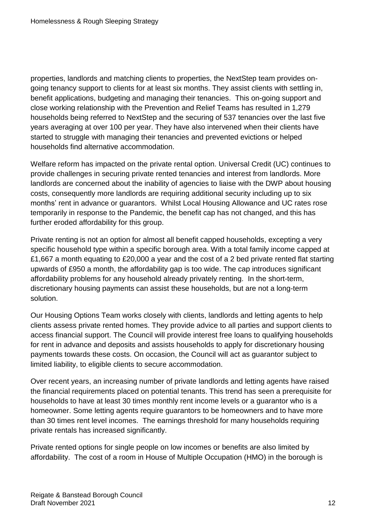properties, landlords and matching clients to properties, the NextStep team provides ongoing tenancy support to clients for at least six months. They assist clients with settling in, benefit applications, budgeting and managing their tenancies. This on-going support and close working relationship with the Prevention and Relief Teams has resulted in 1,279 households being referred to NextStep and the securing of 537 tenancies over the last five years averaging at over 100 per year. They have also intervened when their clients have started to struggle with managing their tenancies and prevented evictions or helped households find alternative accommodation.

Welfare reform has impacted on the private rental option. Universal Credit (UC) continues to provide challenges in securing private rented tenancies and interest from landlords. More landlords are concerned about the inability of agencies to liaise with the DWP about housing costs, consequently more landlords are requiring additional security including up to six months' rent in advance or guarantors. Whilst Local Housing Allowance and UC rates rose temporarily in response to the Pandemic, the benefit cap has not changed, and this has further eroded affordability for this group.

Private renting is not an option for almost all benefit capped households, excepting a very specific household type within a specific borough area. With a total family income capped at £1,667 a month equating to £20,000 a year and the cost of a 2 bed private rented flat starting upwards of £950 a month, the affordability gap is too wide. The cap introduces significant affordability problems for any household already privately renting. In the short-term, discretionary housing payments can assist these households, but are not a long-term solution.

Our Housing Options Team works closely with clients, landlords and letting agents to help clients assess private rented homes. They provide advice to all parties and support clients to access financial support. The Council will provide interest free loans to qualifying households for rent in advance and deposits and assists households to apply for discretionary housing payments towards these costs. On occasion, the Council will act as guarantor subject to limited liability, to eligible clients to secure accommodation.

Over recent years, an increasing number of private landlords and letting agents have raised the financial requirements placed on potential tenants. This trend has seen a prerequisite for households to have at least 30 times monthly rent income levels or a guarantor who is a homeowner. Some letting agents require guarantors to be homeowners and to have more than 30 times rent level incomes. The earnings threshold for many households requiring private rentals has increased significantly.

Private rented options for single people on low incomes or benefits are also limited by affordability. The cost of a room in House of Multiple Occupation (HMO) in the borough is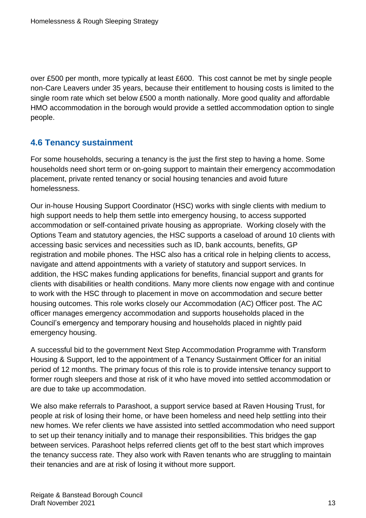over £500 per month, more typically at least £600. This cost cannot be met by single people non-Care Leavers under 35 years, because their entitlement to housing costs is limited to the single room rate which set below £500 a month nationally. More good quality and affordable HMO accommodation in the borough would provide a settled accommodation option to single people.

## <span id="page-12-0"></span>**4.6 Tenancy sustainment**

For some households, securing a tenancy is the just the first step to having a home. Some households need short term or on-going support to maintain their emergency accommodation placement, private rented tenancy or social housing tenancies and avoid future homelessness.

Our in-house Housing Support Coordinator (HSC) works with single clients with medium to high support needs to help them settle into emergency housing, to access supported accommodation or self-contained private housing as appropriate. Working closely with the Options Team and statutory agencies, the HSC supports a caseload of around 10 clients with accessing basic services and necessities such as ID, bank accounts, benefits, GP registration and mobile phones. The HSC also has a critical role in helping clients to access, navigate and attend appointments with a variety of statutory and support services. In addition, the HSC makes funding applications for benefits, financial support and grants for clients with disabilities or health conditions. Many more clients now engage with and continue to work with the HSC through to placement in move on accommodation and secure better housing outcomes. This role works closely our Accommodation (AC) Officer post. The AC officer manages emergency accommodation and supports households placed in the Council's emergency and temporary housing and households placed in nightly paid emergency housing.

A successful bid to the government Next Step Accommodation Programme with Transform Housing & Support, led to the appointment of a Tenancy Sustainment Officer for an initial period of 12 months. The primary focus of this role is to provide intensive tenancy support to former rough sleepers and those at risk of it who have moved into settled accommodation or are due to take up accommodation.

We also make referrals to Parashoot, a support service based at Raven Housing Trust, for people at risk of losing their home, or have been homeless and need help settling into their new homes. We refer clients we have assisted into settled accommodation who need support to set up their tenancy initially and to manage their responsibilities. This bridges the gap between services. Parashoot helps referred clients get off to the best start which improves the tenancy success rate. They also work with Raven tenants who are struggling to maintain their tenancies and are at risk of losing it without more support.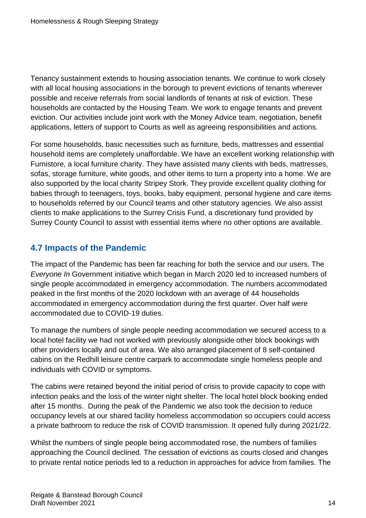Tenancy sustainment extends to housing association tenants. We continue to work closely with all local housing associations in the borough to prevent evictions of tenants wherever possible and receive referrals from social landlords of tenants at risk of eviction. These households are contacted by the Housing Team. We work to engage tenants and prevent eviction. Our activities include joint work with the Money Advice team, negotiation, benefit applications, letters of support to Courts as well as agreeing responsibilities and actions.

For some households, basic necessities such as furniture, beds, mattresses and essential household items are completely unaffordable. We have an excellent working relationship with Furnistore, a local furniture charity. They have assisted many clients with beds, mattresses, sofas, storage furniture, white goods, and other items to turn a property into a home. We are also supported by the local charity Stripey Stork. They provide excellent quality clothing for babies through to teenagers, toys, books, baby equipment, personal hygiene and care items to households referred by our Council teams and other statutory agencies. We also assist clients to make applications to the Surrey Crisis Fund, a discretionary fund provided by Surrey County Council to assist with essential items where no other options are available.

## <span id="page-13-0"></span>**4.7 Impacts of the Pandemic**

The impact of the Pandemic has been far reaching for both the service and our users. The *Everyone In* Government initiative which began in March 2020 led to increased numbers of single people accommodated in emergency accommodation. The numbers accommodated peaked in the first months of the 2020 lockdown with an average of 44 households accommodated in emergency accommodation during the first quarter. Over half were accommodated due to COVID-19 duties.

To manage the numbers of single people needing accommodation we secured access to a local hotel facility we had not worked with previously alongside other block bookings with other providers locally and out of area. We also arranged placement of 8 self-contained cabins on the Redhill leisure centre carpark to accommodate single homeless people and individuals with COVID or symptoms.

The cabins were retained beyond the initial period of crisis to provide capacity to cope with infection peaks and the loss of the winter night shelter. The local hotel block booking ended after 15 months. During the peak of the Pandemic we also took the decision to reduce occupancy levels at our shared facility homeless accommodation so occupiers could access a private bathroom to reduce the risk of COVID transmission. It opened fully during 2021/22.

Whilst the numbers of single people being accommodated rose, the numbers of families approaching the Council declined. The cessation of evictions as courts closed and changes to private rental notice periods led to a reduction in approaches for advice from families. The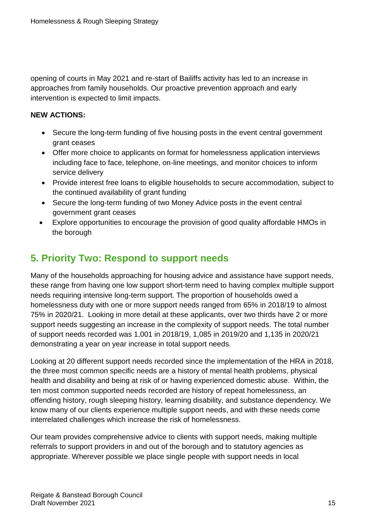opening of courts in May 2021 and re-start of Bailiffs activity has led to an increase in approaches from family households. Our proactive prevention approach and early intervention is expected to limit impacts.

#### **NEW ACTIONS:**

- Secure the long-term funding of five housing posts in the event central government grant ceases
- Offer more choice to applicants on format for homelessness application interviews including face to face, telephone, on-line meetings, and monitor choices to inform service delivery
- Provide interest free loans to eligible households to secure accommodation, subject to the continued availability of grant funding
- Secure the long-term funding of two Money Advice posts in the event central government grant ceases
- Explore opportunities to encourage the provision of good quality affordable HMOs in the borough

# <span id="page-14-0"></span>**5. Priority Two: Respond to support needs**

Many of the households approaching for housing advice and assistance have support needs, these range from having one low support short-term need to having complex multiple support needs requiring intensive long-term support. The proportion of households owed a homelessness duty with one or more support needs ranged from 65% in 2018/19 to almost 75% in 2020/21. Looking in more detail at these applicants, over two thirds have 2 or more support needs suggesting an increase in the complexity of support needs. The total number of support needs recorded was 1,001 in 2018/19, 1,085 in 2019/20 and 1,135 in 2020/21 demonstrating a year on year increase in total support needs.

Looking at 20 different support needs recorded since the implementation of the HRA in 2018, the three most common specific needs are a history of mental health problems, physical health and disability and being at risk of or having experienced domestic abuse. Within, the ten most common supported needs recorded are history of repeat homelessness, an offending history, rough sleeping history, learning disability, and substance dependency. We know many of our clients experience multiple support needs, and with these needs come interrelated challenges which increase the risk of homelessness.

Our team provides comprehensive advice to clients with support needs, making multiple referrals to support providers in and out of the borough and to statutory agencies as appropriate. Wherever possible we place single people with support needs in local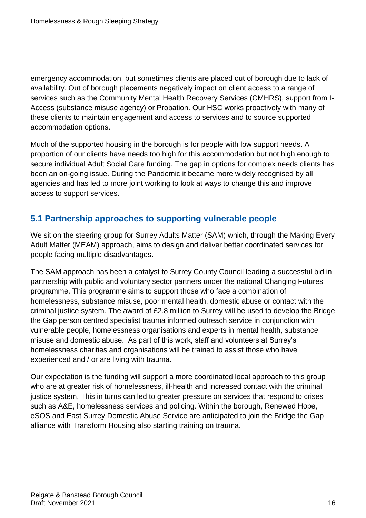emergency accommodation, but sometimes clients are placed out of borough due to lack of availability. Out of borough placements negatively impact on client access to a range of services such as the Community Mental Health Recovery Services (CMHRS), support from I-Access (substance misuse agency) or Probation. Our HSC works proactively with many of these clients to maintain engagement and access to services and to source supported accommodation options.

Much of the supported housing in the borough is for people with low support needs. A proportion of our clients have needs too high for this accommodation but not high enough to secure individual Adult Social Care funding. The gap in options for complex needs clients has been an on-going issue. During the Pandemic it became more widely recognised by all agencies and has led to more joint working to look at ways to change this and improve access to support services.

## <span id="page-15-0"></span>**5.1 Partnership approaches to supporting vulnerable people**

We sit on the steering group for Surrey Adults Matter (SAM) which, through the Making Every Adult Matter (MEAM) approach, aims to design and deliver better coordinated services for people facing multiple disadvantages.

The SAM approach has been a catalyst to Surrey County Council leading a successful bid in partnership with public and voluntary sector partners under the national Changing Futures programme. This programme aims to support those who face a combination of homelessness, substance misuse, poor mental health, domestic abuse or contact with the criminal justice system. The award of £2.8 million to Surrey will be used to develop the Bridge the Gap person centred specialist trauma informed outreach service in conjunction with vulnerable people, homelessness organisations and experts in mental health, substance misuse and domestic abuse. As part of this work, staff and volunteers at Surrey's homelessness charities and organisations will be trained to assist those who have experienced and / or are living with trauma.

Our expectation is the funding will support a more coordinated local approach to this group who are at greater risk of homelessness, ill-health and increased contact with the criminal justice system. This in turns can led to greater pressure on services that respond to crises such as A&E, homelessness services and policing. Within the borough, Renewed Hope, eSOS and East Surrey Domestic Abuse Service are anticipated to join the Bridge the Gap alliance with Transform Housing also starting training on trauma.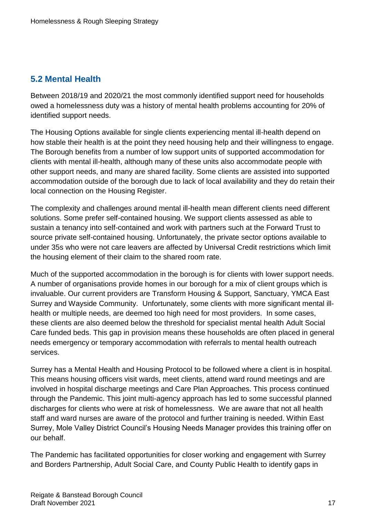## <span id="page-16-0"></span>**5.2 Mental Health**

Between 2018/19 and 2020/21 the most commonly identified support need for households owed a homelessness duty was a history of mental health problems accounting for 20% of identified support needs.

The Housing Options available for single clients experiencing mental ill-health depend on how stable their health is at the point they need housing help and their willingness to engage. The Borough benefits from a number of low support units of supported accommodation for clients with mental ill-health, although many of these units also accommodate people with other support needs, and many are shared facility. Some clients are assisted into supported accommodation outside of the borough due to lack of local availability and they do retain their local connection on the Housing Register.

The complexity and challenges around mental ill-health mean different clients need different solutions. Some prefer self-contained housing. We support clients assessed as able to sustain a tenancy into self-contained and work with partners such at the Forward Trust to source private self-contained housing. Unfortunately, the private sector options available to under 35s who were not care leavers are affected by Universal Credit restrictions which limit the housing element of their claim to the shared room rate.

Much of the supported accommodation in the borough is for clients with lower support needs. A number of organisations provide homes in our borough for a mix of client groups which is invaluable. Our current providers are Transform Housing & Support, Sanctuary, YMCA East Surrey and Wayside Community. Unfortunately, some clients with more significant mental illhealth or multiple needs, are deemed too high need for most providers. In some cases, these clients are also deemed below the threshold for specialist mental health Adult Social Care funded beds. This gap in provision means these households are often placed in general needs emergency or temporary accommodation with referrals to mental health outreach services.

Surrey has a Mental Health and Housing Protocol to be followed where a client is in hospital. This means housing officers visit wards, meet clients, attend ward round meetings and are involved in hospital discharge meetings and Care Plan Approaches. This process continued through the Pandemic. This joint multi-agency approach has led to some successful planned discharges for clients who were at risk of homelessness. We are aware that not all health staff and ward nurses are aware of the protocol and further training is needed. Within East Surrey, Mole Valley District Council's Housing Needs Manager provides this training offer on our behalf.

The Pandemic has facilitated opportunities for closer working and engagement with Surrey and Borders Partnership, Adult Social Care, and County Public Health to identify gaps in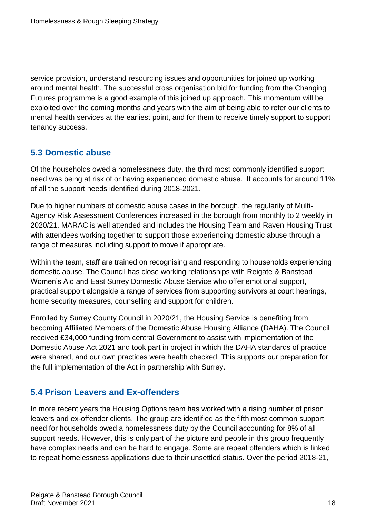service provision, understand resourcing issues and opportunities for joined up working around mental health. The successful cross organisation bid for funding from the Changing Futures programme is a good example of this joined up approach. This momentum will be exploited over the coming months and years with the aim of being able to refer our clients to mental health services at the earliest point, and for them to receive timely support to support tenancy success.

## <span id="page-17-0"></span>**5.3 Domestic abuse**

Of the households owed a homelessness duty, the third most commonly identified support need was being at risk of or having experienced domestic abuse. It accounts for around 11% of all the support needs identified during 2018-2021.

Due to higher numbers of domestic abuse cases in the borough, the regularity of Multi-Agency Risk Assessment Conferences increased in the borough from monthly to 2 weekly in 2020/21. MARAC is well attended and includes the Housing Team and Raven Housing Trust with attendees working together to support those experiencing domestic abuse through a range of measures including support to move if appropriate.

Within the team, staff are trained on recognising and responding to households experiencing domestic abuse. The Council has close working relationships with Reigate & Banstead Women's Aid and East Surrey Domestic Abuse Service who offer emotional support, practical support alongside a range of services from supporting survivors at court hearings, home security measures, counselling and support for children.

Enrolled by Surrey County Council in 2020/21, the Housing Service is benefiting from becoming Affiliated Members of the Domestic Abuse Housing Alliance (DAHA). The Council received £34,000 funding from central Government to assist with implementation of the Domestic Abuse Act 2021 and took part in project in which the DAHA standards of practice were shared, and our own practices were health checked. This supports our preparation for the full implementation of the Act in partnership with Surrey.

## <span id="page-17-1"></span>**5.4 Prison Leavers and Ex-offenders**

In more recent years the Housing Options team has worked with a rising number of prison leavers and ex-offender clients. The group are identified as the fifth most common support need for households owed a homelessness duty by the Council accounting for 8% of all support needs. However, this is only part of the picture and people in this group frequently have complex needs and can be hard to engage. Some are repeat offenders which is linked to repeat homelessness applications due to their unsettled status. Over the period 2018-21,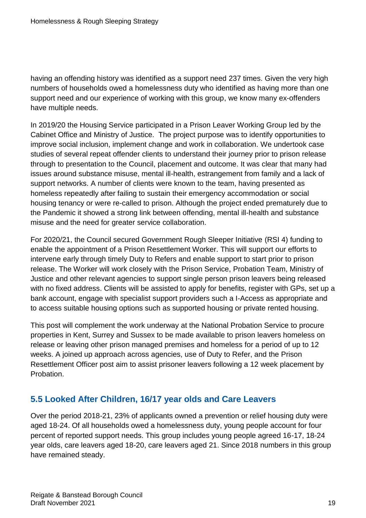having an offending history was identified as a support need 237 times. Given the very high numbers of households owed a homelessness duty who identified as having more than one support need and our experience of working with this group, we know many ex-offenders have multiple needs.

In 2019/20 the Housing Service participated in a Prison Leaver Working Group led by the Cabinet Office and Ministry of Justice. The project purpose was to identify opportunities to improve social inclusion, implement change and work in collaboration. We undertook case studies of several repeat offender clients to understand their journey prior to prison release through to presentation to the Council, placement and outcome. It was clear that many had issues around substance misuse, mental ill-health, estrangement from family and a lack of support networks. A number of clients were known to the team, having presented as homeless repeatedly after failing to sustain their emergency accommodation or social housing tenancy or were re-called to prison. Although the project ended prematurely due to the Pandemic it showed a strong link between offending, mental ill-health and substance misuse and the need for greater service collaboration.

For 2020/21, the Council secured Government Rough Sleeper Initiative (RSI 4) funding to enable the appointment of a Prison Resettlement Worker. This will support our efforts to intervene early through timely Duty to Refers and enable support to start prior to prison release. The Worker will work closely with the Prison Service, Probation Team, Ministry of Justice and other relevant agencies to support single person prison leavers being released with no fixed address. Clients will be assisted to apply for benefits, register with GPs, set up a bank account, engage with specialist support providers such a I-Access as appropriate and to access suitable housing options such as supported housing or private rented housing.

This post will complement the work underway at the National Probation Service to procure properties in Kent, Surrey and Sussex to be made available to prison leavers homeless on release or leaving other prison managed premises and homeless for a period of up to 12 weeks. A joined up approach across agencies, use of Duty to Refer, and the Prison Resettlement Officer post aim to assist prisoner leavers following a 12 week placement by Probation.

## <span id="page-18-0"></span>**5.5 Looked After Children, 16/17 year olds and Care Leavers**

Over the period 2018-21, 23% of applicants owned a prevention or relief housing duty were aged 18-24. Of all households owed a homelessness duty, young people account for four percent of reported support needs. This group includes young people agreed 16-17, 18-24 year olds, care leavers aged 18-20, care leavers aged 21. Since 2018 numbers in this group have remained steady.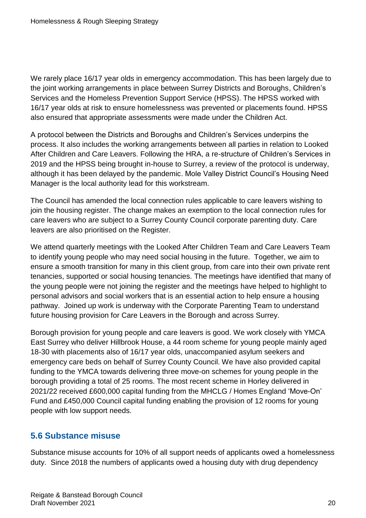We rarely place 16/17 year olds in emergency accommodation. This has been largely due to the joint working arrangements in place between Surrey Districts and Boroughs, Children's Services and the Homeless Prevention Support Service (HPSS). The HPSS worked with 16/17 year olds at risk to ensure homelessness was prevented or placements found. HPSS also ensured that appropriate assessments were made under the Children Act.

A protocol between the Districts and Boroughs and Children's Services underpins the process. It also includes the working arrangements between all parties in relation to Looked After Children and Care Leavers. Following the HRA, a re-structure of Children's Services in 2019 and the HPSS being brought in-house to Surrey, a review of the protocol is underway, although it has been delayed by the pandemic. Mole Valley District Council's Housing Need Manager is the local authority lead for this workstream.

The Council has amended the local connection rules applicable to care leavers wishing to join the housing register. The change makes an exemption to the local connection rules for care leavers who are subject to a Surrey County Council corporate parenting duty. Care leavers are also prioritised on the Register.

We attend quarterly meetings with the Looked After Children Team and Care Leavers Team to identify young people who may need social housing in the future. Together, we aim to ensure a smooth transition for many in this client group, from care into their own private rent tenancies, supported or social housing tenancies. The meetings have identified that many of the young people were not joining the register and the meetings have helped to highlight to personal advisors and social workers that is an essential action to help ensure a housing pathway. Joined up work is underway with the Corporate Parenting Team to understand future housing provision for Care Leavers in the Borough and across Surrey.

Borough provision for young people and care leavers is good. We work closely with YMCA East Surrey who deliver Hillbrook House, a 44 room scheme for young people mainly aged 18-30 with placements also of 16/17 year olds, unaccompanied asylum seekers and emergency care beds on behalf of Surrey County Council. We have also provided capital funding to the YMCA towards delivering three move-on schemes for young people in the borough providing a total of 25 rooms. The most recent scheme in Horley delivered in 2021/22 received £600,000 capital funding from the MHCLG / Homes England 'Move-On' Fund and £450,000 Council capital funding enabling the provision of 12 rooms for young people with low support needs.

## <span id="page-19-0"></span>**5.6 Substance misuse**

Substance misuse accounts for 10% of all support needs of applicants owed a homelessness duty. Since 2018 the numbers of applicants owed a housing duty with drug dependency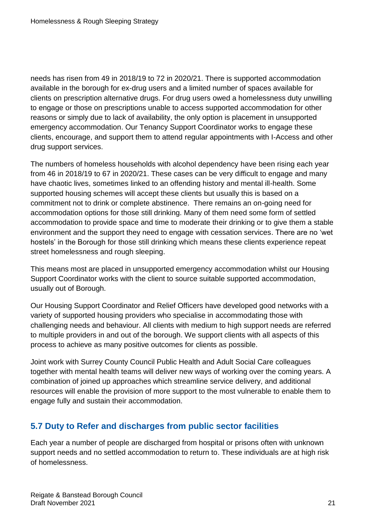needs has risen from 49 in 2018/19 to 72 in 2020/21. There is supported accommodation available in the borough for ex-drug users and a limited number of spaces available for clients on prescription alternative drugs. For drug users owed a homelessness duty unwilling to engage or those on prescriptions unable to access supported accommodation for other reasons or simply due to lack of availability, the only option is placement in unsupported emergency accommodation. Our Tenancy Support Coordinator works to engage these clients, encourage, and support them to attend regular appointments with I-Access and other drug support services.

The numbers of homeless households with alcohol dependency have been rising each year from 46 in 2018/19 to 67 in 2020/21. These cases can be very difficult to engage and many have chaotic lives, sometimes linked to an offending history and mental ill-health. Some supported housing schemes will accept these clients but usually this is based on a commitment not to drink or complete abstinence. There remains an on-going need for accommodation options for those still drinking. Many of them need some form of settled accommodation to provide space and time to moderate their drinking or to give them a stable environment and the support they need to engage with cessation services. There are no 'wet hostels' in the Borough for those still drinking which means these clients experience repeat street homelessness and rough sleeping.

This means most are placed in unsupported emergency accommodation whilst our Housing Support Coordinator works with the client to source suitable supported accommodation, usually out of Borough.

Our Housing Support Coordinator and Relief Officers have developed good networks with a variety of supported housing providers who specialise in accommodating those with challenging needs and behaviour. All clients with medium to high support needs are referred to multiple providers in and out of the borough. We support clients with all aspects of this process to achieve as many positive outcomes for clients as possible.

Joint work with Surrey County Council Public Health and Adult Social Care colleagues together with mental health teams will deliver new ways of working over the coming years. A combination of joined up approaches which streamline service delivery, and additional resources will enable the provision of more support to the most vulnerable to enable them to engage fully and sustain their accommodation.

## <span id="page-20-0"></span>**5.7 Duty to Refer and discharges from public sector facilities**

Each year a number of people are discharged from hospital or prisons often with unknown support needs and no settled accommodation to return to. These individuals are at high risk of homelessness.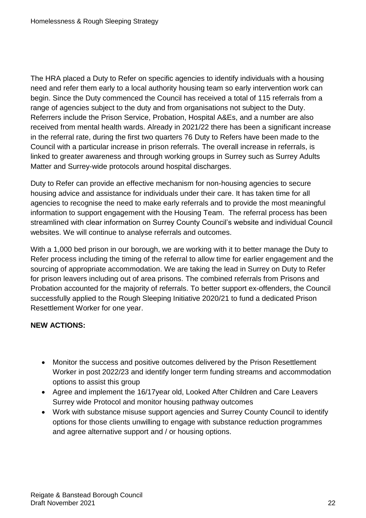The HRA placed a Duty to Refer on specific agencies to identify individuals with a housing need and refer them early to a local authority housing team so early intervention work can begin. Since the Duty commenced the Council has received a total of 115 referrals from a range of agencies subject to the duty and from organisations not subject to the Duty. Referrers include the Prison Service, Probation, Hospital A&Es, and a number are also received from mental health wards. Already in 2021/22 there has been a significant increase in the referral rate, during the first two quarters 76 Duty to Refers have been made to the Council with a particular increase in prison referrals. The overall increase in referrals, is linked to greater awareness and through working groups in Surrey such as Surrey Adults Matter and Surrey-wide protocols around hospital discharges.

Duty to Refer can provide an effective mechanism for non-housing agencies to secure housing advice and assistance for individuals under their care. It has taken time for all agencies to recognise the need to make early referrals and to provide the most meaningful information to support engagement with the Housing Team. The referral process has been streamlined with clear information on Surrey County Council's website and individual Council websites. We will continue to analyse referrals and outcomes.

With a 1,000 bed prison in our borough, we are working with it to better manage the Duty to Refer process including the timing of the referral to allow time for earlier engagement and the sourcing of appropriate accommodation. We are taking the lead in Surrey on Duty to Refer for prison leavers including out of area prisons. The combined referrals from Prisons and Probation accounted for the majority of referrals. To better support ex-offenders, the Council successfully applied to the Rough Sleeping Initiative 2020/21 to fund a dedicated Prison Resettlement Worker for one year.

#### **NEW ACTIONS:**

- Monitor the success and positive outcomes delivered by the Prison Resettlement Worker in post 2022/23 and identify longer term funding streams and accommodation options to assist this group
- Agree and implement the 16/17year old, Looked After Children and Care Leavers Surrey wide Protocol and monitor housing pathway outcomes
- Work with substance misuse support agencies and Surrey County Council to identify options for those clients unwilling to engage with substance reduction programmes and agree alternative support and / or housing options.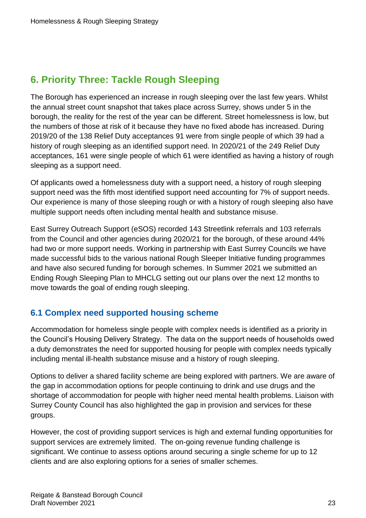# <span id="page-22-0"></span>**6. Priority Three: Tackle Rough Sleeping**

The Borough has experienced an increase in rough sleeping over the last few years. Whilst the annual street count snapshot that takes place across Surrey, shows under 5 in the borough, the reality for the rest of the year can be different. Street homelessness is low, but the numbers of those at risk of it because they have no fixed abode has increased. During 2019/20 of the 138 Relief Duty acceptances 91 were from single people of which 39 had a history of rough sleeping as an identified support need. In 2020/21 of the 249 Relief Duty acceptances, 161 were single people of which 61 were identified as having a history of rough sleeping as a support need.

Of applicants owed a homelessness duty with a support need, a history of rough sleeping support need was the fifth most identified support need accounting for 7% of support needs. Our experience is many of those sleeping rough or with a history of rough sleeping also have multiple support needs often including mental health and substance misuse.

East Surrey Outreach Support (eSOS) recorded 143 Streetlink referrals and 103 referrals from the Council and other agencies during 2020/21 for the borough, of these around 44% had two or more support needs. Working in partnership with East Surrey Councils we have made successful bids to the various national Rough Sleeper Initiative funding programmes and have also secured funding for borough schemes. In Summer 2021 we submitted an Ending Rough Sleeping Plan to MHCLG setting out our plans over the next 12 months to move towards the goal of ending rough sleeping.

## <span id="page-22-1"></span>**6.1 Complex need supported housing scheme**

Accommodation for homeless single people with complex needs is identified as a priority in the Council's Housing Delivery Strategy. The data on the support needs of households owed a duty demonstrates the need for supported housing for people with complex needs typically including mental ill-health substance misuse and a history of rough sleeping.

Options to deliver a shared facility scheme are being explored with partners. We are aware of the gap in accommodation options for people continuing to drink and use drugs and the shortage of accommodation for people with higher need mental health problems. Liaison with Surrey County Council has also highlighted the gap in provision and services for these groups.

However, the cost of providing support services is high and external funding opportunities for support services are extremely limited. The on-going revenue funding challenge is significant. We continue to assess options around securing a single scheme for up to 12 clients and are also exploring options for a series of smaller schemes.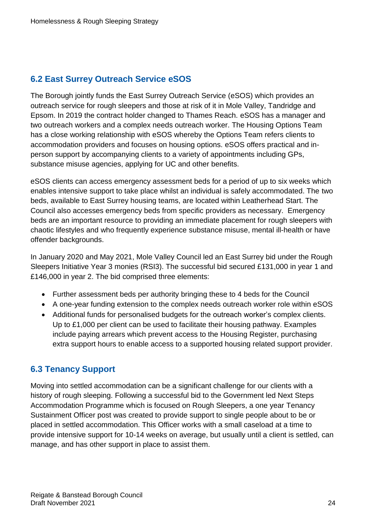## <span id="page-23-0"></span>**6.2 East Surrey Outreach Service eSOS**

The Borough jointly funds the East Surrey Outreach Service (eSOS) which provides an outreach service for rough sleepers and those at risk of it in Mole Valley, Tandridge and Epsom. In 2019 the contract holder changed to Thames Reach. eSOS has a manager and two outreach workers and a complex needs outreach worker. The Housing Options Team has a close working relationship with eSOS whereby the Options Team refers clients to accommodation providers and focuses on housing options. eSOS offers practical and inperson support by accompanying clients to a variety of appointments including GPs, substance misuse agencies, applying for UC and other benefits.

eSOS clients can access emergency assessment beds for a period of up to six weeks which enables intensive support to take place whilst an individual is safely accommodated. The two beds, available to East Surrey housing teams, are located within Leatherhead Start. The Council also accesses emergency beds from specific providers as necessary. Emergency beds are an important resource to providing an immediate placement for rough sleepers with chaotic lifestyles and who frequently experience substance misuse, mental ill-health or have offender backgrounds.

In January 2020 and May 2021, Mole Valley Council led an East Surrey bid under the Rough Sleepers Initiative Year 3 monies (RSI3). The successful bid secured £131,000 in year 1 and £146,000 in year 2. The bid comprised three elements:

- Further assessment beds per authority bringing these to 4 beds for the Council
- A one-year funding extension to the complex needs outreach worker role within eSOS
- Additional funds for personalised budgets for the outreach worker's complex clients. Up to £1,000 per client can be used to facilitate their housing pathway. Examples include paying arrears which prevent access to the Housing Register, purchasing extra support hours to enable access to a supported housing related support provider.

## <span id="page-23-1"></span>**6.3 Tenancy Support**

Moving into settled accommodation can be a significant challenge for our clients with a history of rough sleeping. Following a successful bid to the Government led Next Steps Accommodation Programme which is focused on Rough Sleepers, a one year Tenancy Sustainment Officer post was created to provide support to single people about to be or placed in settled accommodation. This Officer works with a small caseload at a time to provide intensive support for 10-14 weeks on average, but usually until a client is settled, can manage, and has other support in place to assist them.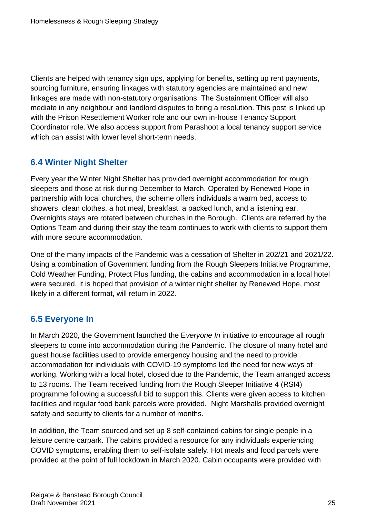Clients are helped with tenancy sign ups, applying for benefits, setting up rent payments, sourcing furniture, ensuring linkages with statutory agencies are maintained and new linkages are made with non-statutory organisations. The Sustainment Officer will also mediate in any neighbour and landlord disputes to bring a resolution. This post is linked up with the Prison Resettlement Worker role and our own in-house Tenancy Support Coordinator role. We also access support from Parashoot a local tenancy support service which can assist with lower level short-term needs.

## <span id="page-24-0"></span>**6.4 Winter Night Shelter**

Every year the Winter Night Shelter has provided overnight accommodation for rough sleepers and those at risk during December to March. Operated by Renewed Hope in partnership with local churches, the scheme offers individuals a warm bed, access to showers, clean clothes, a hot meal, breakfast, a packed lunch, and a listening ear. Overnights stays are rotated between churches in the Borough. Clients are referred by the Options Team and during their stay the team continues to work with clients to support them with more secure accommodation.

One of the many impacts of the Pandemic was a cessation of Shelter in 202/21 and 2021/22. Using a combination of Government funding from the Rough Sleepers Initiative Programme, Cold Weather Funding, Protect Plus funding, the cabins and accommodation in a local hotel were secured. It is hoped that provision of a winter night shelter by Renewed Hope, most likely in a different format, will return in 2022.

## <span id="page-24-1"></span>**6.5 Everyone In**

In March 2020, the Government launched the E*veryone In* initiative to encourage all rough sleepers to come into accommodation during the Pandemic. The closure of many hotel and guest house facilities used to provide emergency housing and the need to provide accommodation for individuals with COVID-19 symptoms led the need for new ways of working. Working with a local hotel, closed due to the Pandemic, the Team arranged access to 13 rooms. The Team received funding from the Rough Sleeper Initiative 4 (RSI4) programme following a successful bid to support this. Clients were given access to kitchen facilities and regular food bank parcels were provided. Night Marshalls provided overnight safety and security to clients for a number of months.

In addition, the Team sourced and set up 8 self-contained cabins for single people in a leisure centre carpark. The cabins provided a resource for any individuals experiencing COVID symptoms, enabling them to self-isolate safely. Hot meals and food parcels were provided at the point of full lockdown in March 2020. Cabin occupants were provided with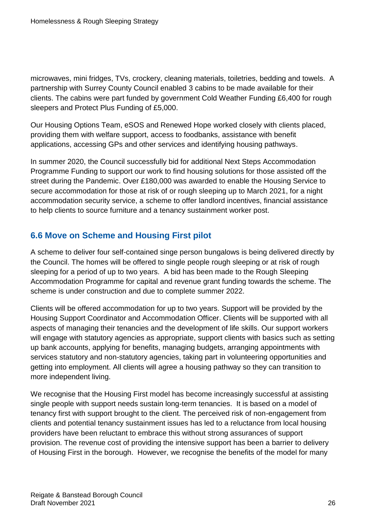microwaves, mini fridges, TVs, crockery, cleaning materials, toiletries, bedding and towels. A partnership with Surrey County Council enabled 3 cabins to be made available for their clients. The cabins were part funded by government Cold Weather Funding £6,400 for rough sleepers and Protect Plus Funding of £5,000.

Our Housing Options Team, eSOS and Renewed Hope worked closely with clients placed, providing them with welfare support, access to foodbanks, assistance with benefit applications, accessing GPs and other services and identifying housing pathways.

In summer 2020, the Council successfully bid for additional Next Steps Accommodation Programme Funding to support our work to find housing solutions for those assisted off the street during the Pandemic. Over £180,000 was awarded to enable the Housing Service to secure accommodation for those at risk of or rough sleeping up to March 2021, for a night accommodation security service, a scheme to offer landlord incentives, financial assistance to help clients to source furniture and a tenancy sustainment worker post.

## <span id="page-25-0"></span>**6.6 Move on Scheme and Housing First pilot**

A scheme to deliver four self-contained singe person bungalows is being delivered directly by the Council. The homes will be offered to single people rough sleeping or at risk of rough sleeping for a period of up to two years. A bid has been made to the Rough Sleeping Accommodation Programme for capital and revenue grant funding towards the scheme. The scheme is under construction and due to complete summer 2022.

Clients will be offered accommodation for up to two years. Support will be provided by the Housing Support Coordinator and Accommodation Officer. Clients will be supported with all aspects of managing their tenancies and the development of life skills. Our support workers will engage with statutory agencies as appropriate, support clients with basics such as setting up bank accounts, applying for benefits, managing budgets, arranging appointments with services statutory and non-statutory agencies, taking part in volunteering opportunities and getting into employment. All clients will agree a housing pathway so they can transition to more independent living.

We recognise that the Housing First model has become increasingly successful at assisting single people with support needs sustain long-term tenancies. It is based on a model of tenancy first with support brought to the client. The perceived risk of non-engagement from clients and potential tenancy sustainment issues has led to a reluctance from local housing providers have been reluctant to embrace this without strong assurances of support provision. The revenue cost of providing the intensive support has been a barrier to delivery of Housing First in the borough. However, we recognise the benefits of the model for many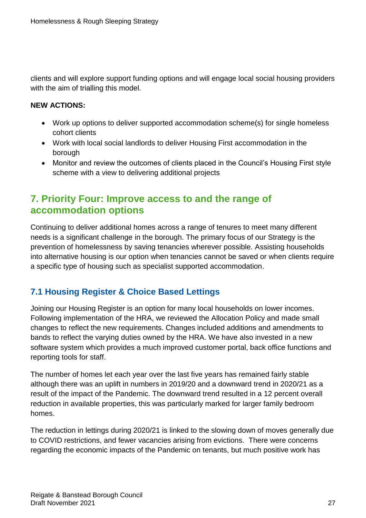clients and will explore support funding options and will engage local social housing providers with the aim of trialling this model.

#### **NEW ACTIONS:**

- Work up options to deliver supported accommodation scheme(s) for single homeless cohort clients
- Work with local social landlords to deliver Housing First accommodation in the borough
- Monitor and review the outcomes of clients placed in the Council's Housing First style scheme with a view to delivering additional projects

# <span id="page-26-0"></span>**7. Priority Four: Improve access to and the range of accommodation options**

Continuing to deliver additional homes across a range of tenures to meet many different needs is a significant challenge in the borough. The primary focus of our Strategy is the prevention of homelessness by saving tenancies wherever possible. Assisting households into alternative housing is our option when tenancies cannot be saved or when clients require a specific type of housing such as specialist supported accommodation.

## <span id="page-26-1"></span>**7.1 Housing Register & Choice Based Lettings**

Joining our Housing Register is an option for many local households on lower incomes. Following implementation of the HRA, we reviewed the Allocation Policy and made small changes to reflect the new requirements. Changes included additions and amendments to bands to reflect the varying duties owned by the HRA. We have also invested in a new software system which provides a much improved customer portal, back office functions and reporting tools for staff.

The number of homes let each year over the last five years has remained fairly stable although there was an uplift in numbers in 2019/20 and a downward trend in 2020/21 as a result of the impact of the Pandemic. The downward trend resulted in a 12 percent overall reduction in available properties, this was particularly marked for larger family bedroom homes.

The reduction in lettings during 2020/21 is linked to the slowing down of moves generally due to COVID restrictions, and fewer vacancies arising from evictions. There were concerns regarding the economic impacts of the Pandemic on tenants, but much positive work has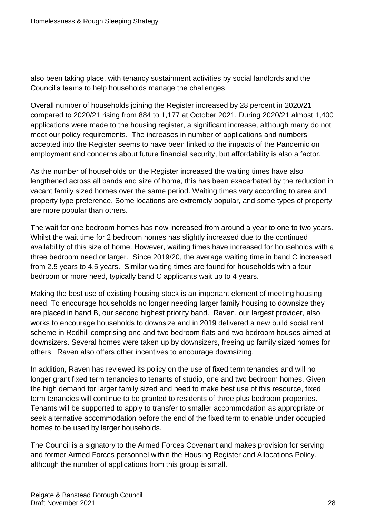also been taking place, with tenancy sustainment activities by social landlords and the Council's teams to help households manage the challenges.

Overall number of households joining the Register increased by 28 percent in 2020/21 compared to 2020/21 rising from 884 to 1,177 at October 2021. During 2020/21 almost 1,400 applications were made to the housing register, a significant increase, although many do not meet our policy requirements. The increases in number of applications and numbers accepted into the Register seems to have been linked to the impacts of the Pandemic on employment and concerns about future financial security, but affordability is also a factor.

As the number of households on the Register increased the waiting times have also lengthened across all bands and size of home, this has been exacerbated by the reduction in vacant family sized homes over the same period. Waiting times vary according to area and property type preference. Some locations are extremely popular, and some types of property are more popular than others.

The wait for one bedroom homes has now increased from around a year to one to two years. Whilst the wait time for 2 bedroom homes has slightly increased due to the continued availability of this size of home. However, waiting times have increased for households with a three bedroom need or larger. Since 2019/20, the average waiting time in band C increased from 2.5 years to 4.5 years. Similar waiting times are found for households with a four bedroom or more need, typically band C applicants wait up to 4 years.

Making the best use of existing housing stock is an important element of meeting housing need. To encourage households no longer needing larger family housing to downsize they are placed in band B, our second highest priority band. Raven, our largest provider, also works to encourage households to downsize and in 2019 delivered a new build social rent scheme in Redhill comprising one and two bedroom flats and two bedroom houses aimed at downsizers. Several homes were taken up by downsizers, freeing up family sized homes for others. Raven also offers other incentives to encourage downsizing.

In addition, Raven has reviewed its policy on the use of fixed term tenancies and will no longer grant fixed term tenancies to tenants of studio, one and two bedroom homes. Given the high demand for larger family sized and need to make best use of this resource, fixed term tenancies will continue to be granted to residents of three plus bedroom properties. Tenants will be supported to apply to transfer to smaller accommodation as appropriate or seek alternative accommodation before the end of the fixed term to enable under occupied homes to be used by larger households.

The Council is a signatory to the Armed Forces Covenant and makes provision for serving and former Armed Forces personnel within the Housing Register and Allocations Policy, although the number of applications from this group is small.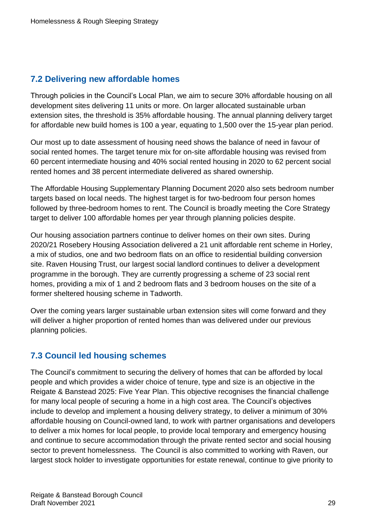## <span id="page-28-0"></span>**7.2 Delivering new affordable homes**

Through policies in the Council's Local Plan, we aim to secure 30% affordable housing on all development sites delivering 11 units or more. On larger allocated sustainable urban extension sites, the threshold is 35% affordable housing. The annual planning delivery target for affordable new build homes is 100 a year, equating to 1,500 over the 15-year plan period.

Our most up to date assessment of housing need shows the balance of need in favour of social rented homes. The target tenure mix for on-site affordable housing was revised from 60 percent intermediate housing and 40% social rented housing in 2020 to 62 percent social rented homes and 38 percent intermediate delivered as shared ownership.

The Affordable Housing Supplementary Planning Document 2020 also sets bedroom number targets based on local needs. The highest target is for two-bedroom four person homes followed by three-bedroom homes to rent. The Council is broadly meeting the Core Strategy target to deliver 100 affordable homes per year through planning policies despite.

Our housing association partners continue to deliver homes on their own sites. During 2020/21 Rosebery Housing Association delivered a 21 unit affordable rent scheme in Horley, a mix of studios, one and two bedroom flats on an office to residential building conversion site. Raven Housing Trust, our largest social landlord continues to deliver a development programme in the borough. They are currently progressing a scheme of 23 social rent homes, providing a mix of 1 and 2 bedroom flats and 3 bedroom houses on the site of a former sheltered housing scheme in Tadworth.

Over the coming years larger sustainable urban extension sites will come forward and they will deliver a higher proportion of rented homes than was delivered under our previous planning policies.

## <span id="page-28-1"></span>**7.3 Council led housing schemes**

The Council's commitment to securing the delivery of homes that can be afforded by local people and which provides a wider choice of tenure, type and size is an objective in the Reigate & Banstead 2025: Five Year Plan. This objective recognises the financial challenge for many local people of securing a home in a high cost area. The Council's objectives include to develop and implement a housing delivery strategy, to deliver a minimum of 30% affordable housing on Council-owned land, to work with partner organisations and developers to deliver a mix homes for local people, to provide local temporary and emergency housing and continue to secure accommodation through the private rented sector and social housing sector to prevent homelessness. The Council is also committed to working with Raven, our largest stock holder to investigate opportunities for estate renewal, continue to give priority to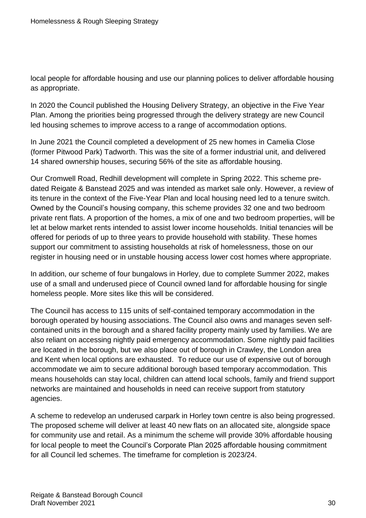local people for affordable housing and use our planning polices to deliver affordable housing as appropriate.

In 2020 the Council published the Housing Delivery Strategy, an objective in the Five Year Plan. Among the priorities being progressed through the delivery strategy are new Council led housing schemes to improve access to a range of accommodation options.

In June 2021 the Council completed a development of 25 new homes in Camelia Close (former Pitwood Park) Tadworth. This was the site of a former industrial unit, and delivered 14 shared ownership houses, securing 56% of the site as affordable housing.

Our Cromwell Road, Redhill development will complete in Spring 2022. This scheme predated Reigate & Banstead 2025 and was intended as market sale only. However, a review of its tenure in the context of the Five-Year Plan and local housing need led to a tenure switch. Owned by the Council's housing company, this scheme provides 32 one and two bedroom private rent flats. A proportion of the homes, a mix of one and two bedroom properties, will be let at below market rents intended to assist lower income households. Initial tenancies will be offered for periods of up to three years to provide household with stability. These homes support our commitment to assisting households at risk of homelessness, those on our register in housing need or in unstable housing access lower cost homes where appropriate.

In addition, our scheme of four bungalows in Horley, due to complete Summer 2022, makes use of a small and underused piece of Council owned land for affordable housing for single homeless people. More sites like this will be considered.

The Council has access to 115 units of self-contained temporary accommodation in the borough operated by housing associations. The Council also owns and manages seven selfcontained units in the borough and a shared facility property mainly used by families. We are also reliant on accessing nightly paid emergency accommodation. Some nightly paid facilities are located in the borough, but we also place out of borough in Crawley, the London area and Kent when local options are exhausted. To reduce our use of expensive out of borough accommodate we aim to secure additional borough based temporary accommodation. This means households can stay local, children can attend local schools, family and friend support networks are maintained and households in need can receive support from statutory agencies.

A scheme to redevelop an underused carpark in Horley town centre is also being progressed. The proposed scheme will deliver at least 40 new flats on an allocated site, alongside space for community use and retail. As a minimum the scheme will provide 30% affordable housing for local people to meet the Council's Corporate Plan 2025 affordable housing commitment for all Council led schemes. The timeframe for completion is 2023/24.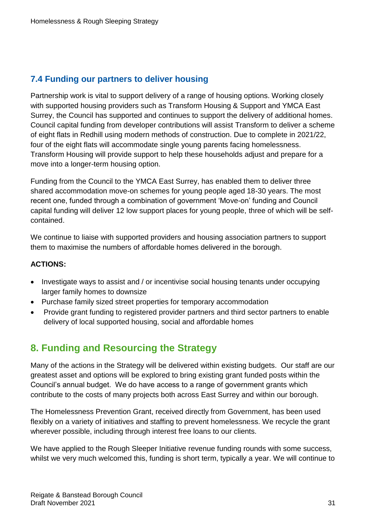## <span id="page-30-0"></span>**7.4 Funding our partners to deliver housing**

Partnership work is vital to support delivery of a range of housing options. Working closely with supported housing providers such as Transform Housing & Support and YMCA East Surrey, the Council has supported and continues to support the delivery of additional homes. Council capital funding from developer contributions will assist Transform to deliver a scheme of eight flats in Redhill using modern methods of construction. Due to complete in 2021/22, four of the eight flats will accommodate single young parents facing homelessness. Transform Housing will provide support to help these households adjust and prepare for a move into a longer-term housing option.

Funding from the Council to the YMCA East Surrey, has enabled them to deliver three shared accommodation move-on schemes for young people aged 18-30 years. The most recent one, funded through a combination of government 'Move-on' funding and Council capital funding will deliver 12 low support places for young people, three of which will be selfcontained.

We continue to liaise with supported providers and housing association partners to support them to maximise the numbers of affordable homes delivered in the borough.

#### **ACTIONS:**

- Investigate ways to assist and / or incentivise social housing tenants under occupying larger family homes to downsize
- Purchase family sized street properties for temporary accommodation
- Provide grant funding to registered provider partners and third sector partners to enable delivery of local supported housing, social and affordable homes

# <span id="page-30-1"></span>**8. Funding and Resourcing the Strategy**

Many of the actions in the Strategy will be delivered within existing budgets. Our staff are our greatest asset and options will be explored to bring existing grant funded posts within the Council's annual budget. We do have access to a range of government grants which contribute to the costs of many projects both across East Surrey and within our borough.

The Homelessness Prevention Grant, received directly from Government, has been used flexibly on a variety of initiatives and staffing to prevent homelessness. We recycle the grant wherever possible, including through interest free loans to our clients.

We have applied to the Rough Sleeper Initiative revenue funding rounds with some success, whilst we very much welcomed this, funding is short term, typically a year. We will continue to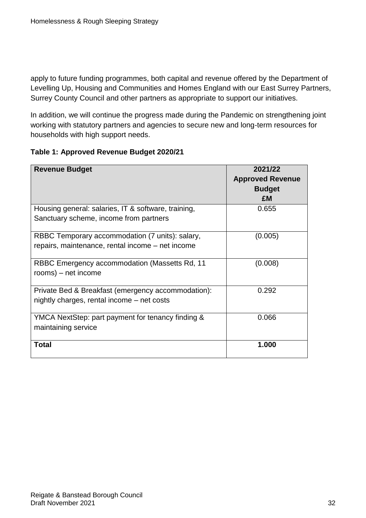apply to future funding programmes, both capital and revenue offered by the Department of Levelling Up, Housing and Communities and Homes England with our East Surrey Partners, Surrey County Council and other partners as appropriate to support our initiatives.

In addition, we will continue the progress made during the Pandemic on strengthening joint working with statutory partners and agencies to secure new and long-term resources for households with high support needs.

#### **Table 1: Approved Revenue Budget 2020/21**

| <b>Revenue Budget</b>                                                                               | 2021/22<br><b>Approved Revenue</b> |
|-----------------------------------------------------------------------------------------------------|------------------------------------|
|                                                                                                     | <b>Budget</b><br>£M                |
| Housing general: salaries, IT & software, training,<br>Sanctuary scheme, income from partners       | 0.655                              |
| RBBC Temporary accommodation (7 units): salary,<br>repairs, maintenance, rental income - net income | (0.005)                            |
| RBBC Emergency accommodation (Massetts Rd, 11<br>rooms) – net income                                | (0.008)                            |
| Private Bed & Breakfast (emergency accommodation):<br>nightly charges, rental income – net costs    | 0.292                              |
| YMCA NextStep: part payment for tenancy finding &<br>maintaining service                            | 0.066                              |
| <b>Total</b>                                                                                        | 1.000                              |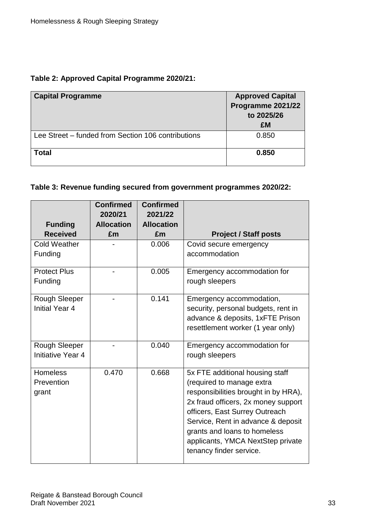#### **Table 2: Approved Capital Programme 2020/21:**

| <b>Capital Programme</b>                           | <b>Approved Capital</b><br>Programme 2021/22<br>to 2025/26<br>£M |
|----------------------------------------------------|------------------------------------------------------------------|
| Lee Street – funded from Section 106 contributions | 0.850                                                            |
| <b>Total</b>                                       | 0.850                                                            |

## **Table 3: Revenue funding secured from government programmes 2020/22:**

|                                               | <b>Confirmed</b><br>2020/21 | <b>Confirmed</b><br>2021/22 |                                                                                                                                                                                                                                                                                                                     |
|-----------------------------------------------|-----------------------------|-----------------------------|---------------------------------------------------------------------------------------------------------------------------------------------------------------------------------------------------------------------------------------------------------------------------------------------------------------------|
| <b>Funding</b>                                | <b>Allocation</b>           | <b>Allocation</b>           |                                                                                                                                                                                                                                                                                                                     |
| <b>Received</b>                               | £m                          | £m                          | <b>Project / Staff posts</b>                                                                                                                                                                                                                                                                                        |
| <b>Cold Weather</b><br>Funding                |                             | 0.006                       | Covid secure emergency<br>accommodation                                                                                                                                                                                                                                                                             |
| <b>Protect Plus</b><br>Funding                |                             | 0.005                       | Emergency accommodation for<br>rough sleepers                                                                                                                                                                                                                                                                       |
| <b>Rough Sleeper</b><br><b>Initial Year 4</b> |                             | 0.141                       | Emergency accommodation,<br>security, personal budgets, rent in<br>advance & deposits, 1xFTE Prison<br>resettlement worker (1 year only)                                                                                                                                                                            |
| <b>Rough Sleeper</b><br>Initiative Year 4     |                             | 0.040                       | Emergency accommodation for<br>rough sleepers                                                                                                                                                                                                                                                                       |
| <b>Homeless</b><br>Prevention<br>grant        | 0.470                       | 0.668                       | 5x FTE additional housing staff<br>(required to manage extra<br>responsibilities brought in by HRA),<br>2x fraud officers, 2x money support<br>officers, East Surrey Outreach<br>Service, Rent in advance & deposit<br>grants and loans to homeless<br>applicants, YMCA NextStep private<br>tenancy finder service. |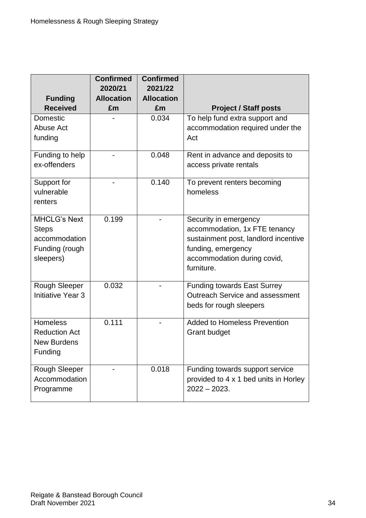| <b>Funding</b>                                                               | <b>Confirmed</b><br>2020/21<br><b>Allocation</b> | <b>Confirmed</b><br>2021/22<br><b>Allocation</b> |                                                                                                                                                                   |
|------------------------------------------------------------------------------|--------------------------------------------------|--------------------------------------------------|-------------------------------------------------------------------------------------------------------------------------------------------------------------------|
| <b>Received</b>                                                              | £m                                               | £m                                               | <b>Project / Staff posts</b>                                                                                                                                      |
| Domestic<br>Abuse Act<br>funding                                             |                                                  | 0.034                                            | To help fund extra support and<br>accommodation required under the<br>Act                                                                                         |
| Funding to help<br>ex-offenders                                              |                                                  | 0.048                                            | Rent in advance and deposits to<br>access private rentals                                                                                                         |
| Support for<br>vulnerable<br>renters                                         |                                                  | 0.140                                            | To prevent renters becoming<br>homeless                                                                                                                           |
| <b>MHCLG's Next</b><br>Steps<br>accommodation<br>Funding (rough<br>sleepers) | 0.199                                            |                                                  | Security in emergency<br>accommodation, 1x FTE tenancy<br>sustainment post, landlord incentive<br>funding, emergency<br>accommodation during covid,<br>furniture. |
| <b>Rough Sleeper</b><br><b>Initiative Year 3</b>                             | 0.032                                            |                                                  | <b>Funding towards East Surrey</b><br><b>Outreach Service and assessment</b><br>beds for rough sleepers                                                           |
| <b>Homeless</b><br><b>Reduction Act</b><br><b>New Burdens</b><br>Funding     | 0.111                                            |                                                  | <b>Added to Homeless Prevention</b><br><b>Grant budget</b>                                                                                                        |
| Rough Sleeper<br>Accommodation<br>Programme                                  |                                                  | 0.018                                            | Funding towards support service<br>provided to 4 x 1 bed units in Horley<br>$2022 - 2023$ .                                                                       |